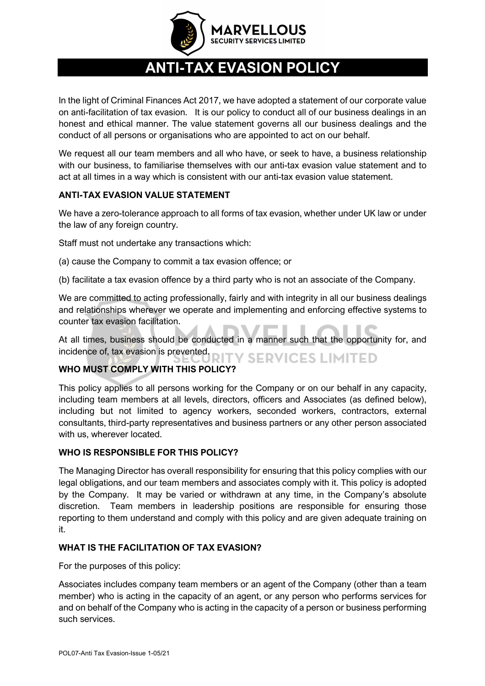

# **ANTI-TAX EVASION POLICY**

In the light of Criminal Finances Act 2017, we have adopted a statement of our corporate value on anti-facilitation of tax evasion. It is our policy to conduct all of our business dealings in an honest and ethical manner. The value statement governs all our business dealings and the conduct of all persons or organisations who are appointed to act on our behalf.

We request all our team members and all who have, or seek to have, a business relationship with our business, to familiarise themselves with our anti-tax evasion value statement and to act at all times in a way which is consistent with our anti-tax evasion value statement.

## **ANTI-TAX EVASION VALUE STATEMENT**

We have a zero-tolerance approach to all forms of tax evasion, whether under UK law or under the law of any foreign country.

Staff must not undertake any transactions which:

(a) cause the Company to commit a tax evasion offence; or

(b) facilitate a tax evasion offence by a third party who is not an associate of the Company.

We are committed to acting professionally, fairly and with integrity in all our business dealings and relationships wherever we operate and implementing and enforcing effective systems to counter tax evasion facilitation.

At all times, business should be conducted in a manner such that the opportunity for, and incidence of, tax evasion is prevented. RITY SERVICES LIMITED

## **WHO MUST COMPLY WITH THIS POLICY?**

This policy applies to all persons working for the Company or on our behalf in any capacity, including team members at all levels, directors, officers and Associates (as defined below), including but not limited to agency workers, seconded workers, contractors, external consultants, third-party representatives and business partners or any other person associated with us, wherever located.

## **WHO IS RESPONSIBLE FOR THIS POLICY?**

The Managing Director has overall responsibility for ensuring that this policy complies with our legal obligations, and our team members and associates comply with it. This policy is adopted by the Company. It may be varied or withdrawn at any time, in the Company's absolute discretion. Team members in leadership positions are responsible for ensuring those reporting to them understand and comply with this policy and are given adequate training on it.

#### **WHAT IS THE FACILITATION OF TAX EVASION?**

For the purposes of this policy:

Associates includes company team members or an agent of the Company (other than a team member) who is acting in the capacity of an agent, or any person who performs services for and on behalf of the Company who is acting in the capacity of a person or business performing such services.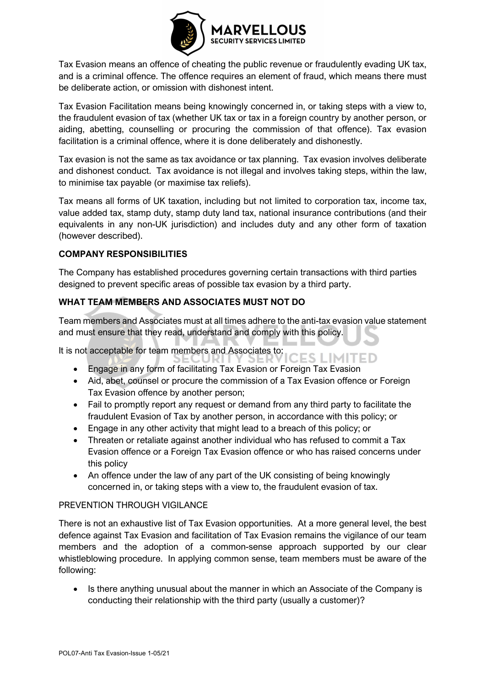

Tax Evasion means an offence of cheating the public revenue or fraudulently evading UK tax, and is a criminal offence. The offence requires an element of fraud, which means there must be deliberate action, or omission with dishonest intent.

Tax Evasion Facilitation means being knowingly concerned in, or taking steps with a view to, the fraudulent evasion of tax (whether UK tax or tax in a foreign country by another person, or aiding, abetting, counselling or procuring the commission of that offence). Tax evasion facilitation is a criminal offence, where it is done deliberately and dishonestly.

Tax evasion is not the same as tax avoidance or tax planning. Tax evasion involves deliberate and dishonest conduct. Tax avoidance is not illegal and involves taking steps, within the law, to minimise tax payable (or maximise tax reliefs).

Tax means all forms of UK taxation, including but not limited to corporation tax, income tax, value added tax, stamp duty, stamp duty land tax, national insurance contributions (and their equivalents in any non-UK jurisdiction) and includes duty and any other form of taxation (however described).

## **COMPANY RESPONSIBILITIES**

The Company has established procedures governing certain transactions with third parties designed to prevent specific areas of possible tax evasion by a third party.

## **WHAT TEAM MEMBERS AND ASSOCIATES MUST NOT DO**

Team members and Associates must at all times adhere to the anti-tax evasion value statement and must ensure that they read, understand and comply with this policy.

It is not acceptable for team members and Associates to:

- IES LIMITED • Engage in any form of facilitating Tax Evasion or Foreign Tax Evasion
- Aid, abet, counsel or procure the commission of a Tax Evasion offence or Foreign Tax Evasion offence by another person;
- Fail to promptly report any request or demand from any third party to facilitate the fraudulent Evasion of Tax by another person, in accordance with this policy; or
- Engage in any other activity that might lead to a breach of this policy; or
- Threaten or retaliate against another individual who has refused to commit a Tax Evasion offence or a Foreign Tax Evasion offence or who has raised concerns under this policy
- An offence under the law of any part of the UK consisting of being knowingly concerned in, or taking steps with a view to, the fraudulent evasion of tax.

## PREVENTION THROUGH VIGILANCE

There is not an exhaustive list of Tax Evasion opportunities. At a more general level, the best defence against Tax Evasion and facilitation of Tax Evasion remains the vigilance of our team members and the adoption of a common-sense approach supported by our clear whistleblowing procedure. In applying common sense, team members must be aware of the following:

• Is there anything unusual about the manner in which an Associate of the Company is conducting their relationship with the third party (usually a customer)?